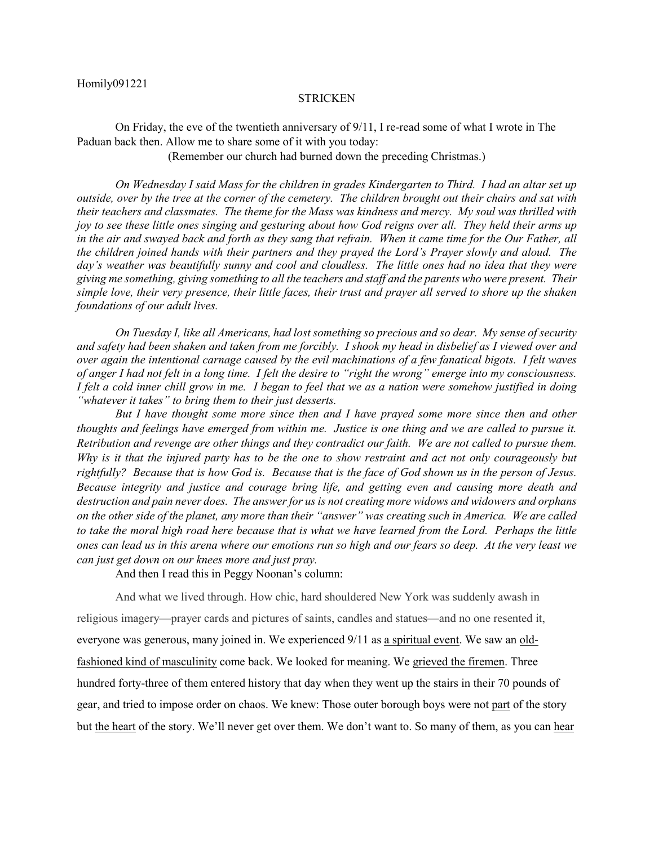## Homily091221

## **STRICKEN**

On Friday, the eve of the twentieth anniversary of 9/11, I re-read some of what I wrote in The Paduan back then. Allow me to share some of it with you today:

(Remember our church had burned down the preceding Christmas.)

*On Wednesday I said Mass for the children in grades Kindergarten to Third. I had an altar set up outside, over by the tree at the corner of the cemetery. The children brought out their chairs and sat with their teachers and classmates. The theme for the Mass was kindness and mercy. My soul was thrilled with joy to see these little ones singing and gesturing about how God reigns over all. They held their arms up in the air and swayed back and forth as they sang that refrain. When it came time for the Our Father, all the children joined hands with their partners and they prayed the Lord's Prayer slowly and aloud. The day's weather was beautifully sunny and cool and cloudless. The little ones had no idea that they were giving me something, giving something to all the teachers and staff and the parents who were present. Their simple love, their very presence, their little faces, their trust and prayer all served to shore up the shaken foundations of our adult lives.*

*On Tuesday I, like all Americans, had lost something so precious and so dear. My sense of security and safety had been shaken and taken from me forcibly. I shook my head in disbelief as I viewed over and over again the intentional carnage caused by the evil machinations of a few fanatical bigots. I felt waves of anger I had not felt in a long time. I felt the desire to "right the wrong" emerge into my consciousness. I felt a cold inner chill grow in me. I began to feel that we as a nation were somehow justified in doing "whatever it takes" to bring them to their just desserts.* 

*But I have thought some more since then and I have prayed some more since then and other thoughts and feelings have emerged from within me. Justice is one thing and we are called to pursue it. Retribution and revenge are other things and they contradict our faith. We are not called to pursue them. Why is it that the injured party has to be the one to show restraint and act not only courageously but rightfully? Because that is how God is. Because that is the face of God shown us in the person of Jesus. Because integrity and justice and courage bring life, and getting even and causing more death and destruction and pain never does. The answer for us is not creating more widows and widowers and orphans on the other side of the planet, any more than their "answer" was creating such in America. We are called to take the moral high road here because that is what we have learned from the Lord. Perhaps the little ones can lead us in this arena where our emotions run so high and our fears so deep. At the very least we can just get down on our knees more and just pray.*

And then I read this in Peggy Noonan's column:

And what we lived through. How chic, hard shouldered New York was suddenly awash in religious imagery—prayer cards and pictures of saints, candles and statues—and no one resented it, everyone was generous, many joined in. We experienced 9/11 as [a spiritual event.](https://www.wsj.com/articles/SB122409353897237085?mod=article_inline) We saw an [old](https://www.wsj.com/articles/SB122451174798650085?mod=article_inline)[fashioned kind of masculinity](https://www.wsj.com/articles/SB122451174798650085?mod=article_inline) come back. We looked for meaning. We [grieved the firemen.](https://www.wsj.com/articles/SB122409853782837359?mod=article_inline) Three hundred forty-three of them entered history that day when they went up the stairs in their 70 pounds of gear, and tried to impose order on chaos. We knew: Those outer borough boys were not part of the story but the heart of the story. We'll never get over them. We don't want to. So many of them, as you can hear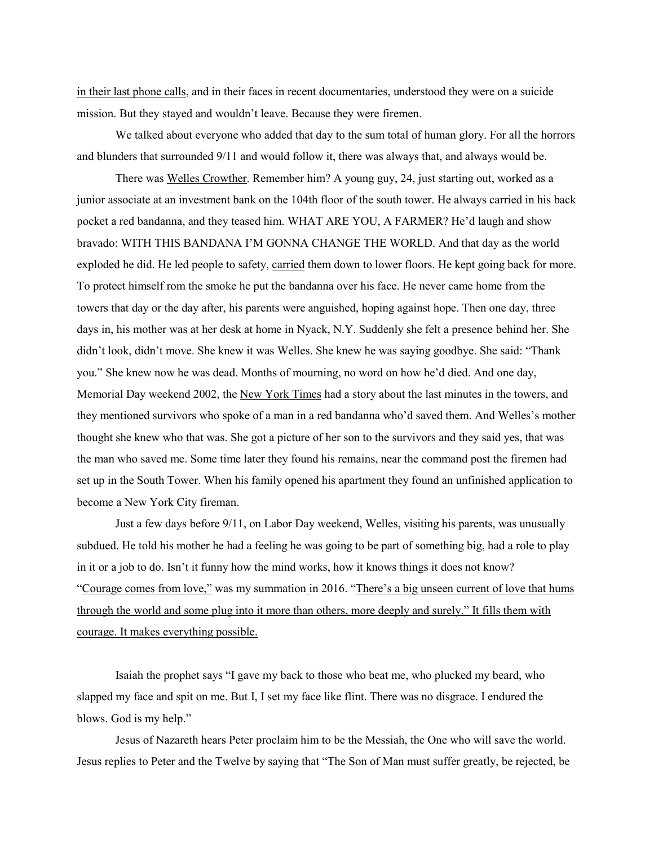[in their last phone calls,](https://www.wsj.com/articles/SB115774704992357920?mod=article_inline) and in their faces in recent documentaries, understood they were on a suicide mission. But they stayed and wouldn't leave. Because they were firemen.

We talked about everyone who added that day to the sum total of human glory. For all the horrors and blunders that surrounded 9/11 and would follow it, there was always that, and always would be.

There was [Welles Crowther.](https://www.wsj.com/articles/remembering-a-hero-15-years-after-9-11-1473377444?mod=article_inline) Remember him? A young guy, 24, just starting out, worked as a junior associate at an investment bank on the 104th floor of the south tower. He always carried in his back pocket a red bandanna, and they teased him. WHAT ARE YOU, A FARMER? He'd laugh and show bravado: WITH THIS BANDANA I'M GONNA CHANGE THE WORLD. And that day as the world exploded he did. He led people to safety, carried them down to lower floors. He kept going back for more. To protect himself rom the smoke he put the bandanna over his face. He never came home from the towers that day or the day after, his parents were anguished, hoping against hope. Then one day, three days in, his mother was at her desk at home in Nyack, N.Y. Suddenly she felt a presence behind her. She didn't look, didn't move. She knew it was Welles. She knew he was saying goodbye. She said: "Thank you." She knew now he was dead. Months of mourning, no word on how he'd died. And one day, Memorial Day weekend 2002, the [New York Times](https://www.wsj.com/market-data/quotes/NYT) had a story about the last minutes in the towers, and they mentioned survivors who spoke of a man in a red bandanna who'd saved them. And Welles's mother thought she knew who that was. She got a picture of her son to the survivors and they said yes, that was the man who saved me. Some time later they found his remains, near the command post the firemen had set up in the South Tower. When his family opened his apartment they found an unfinished application to become a New York City fireman.

Just a few days before 9/11, on Labor Day weekend, Welles, visiting his parents, was unusually subdued. He told his mother he had a feeling he was going to be part of something big, had a role to play in it or a job to do. Isn't it funny how the mind works, how it knows things it does not know? "Courage comes from love," was my [summation](https://www.wsj.com/articles/remembering-a-hero-15-years-after-9-11-1473377444?mod=article_inline) in 2016. "There's a big unseen current of love that hums through the world and some plug into it more than others, more deeply and surely." It fills them with courage. It makes everything possible.

Isaiah the prophet says "I gave my back to those who beat me, who plucked my beard, who slapped my face and spit on me. But I, I set my face like flint. There was no disgrace. I endured the blows. God is my help."

Jesus of Nazareth hears Peter proclaim him to be the Messiah, the One who will save the world. Jesus replies to Peter and the Twelve by saying that "The Son of Man must suffer greatly, be rejected, be